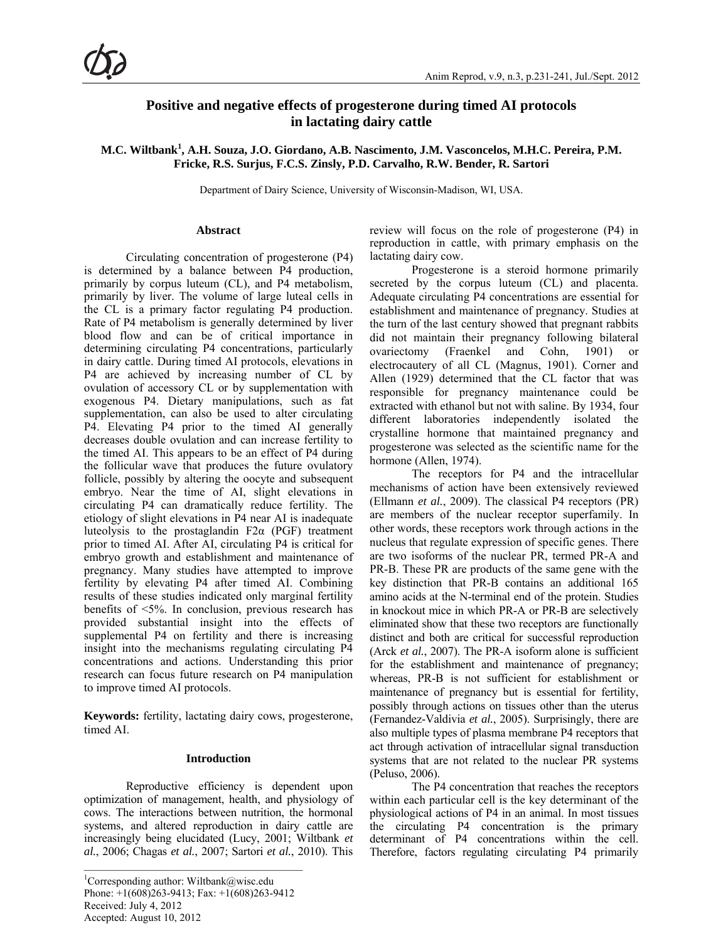# **Positive and negative effects of progesterone during timed AI protocols in lactating dairy cattle**

**M.C. Wiltbank<sup>1</sup> , A.H. Souza, J.O. Giordano, A.B. Nascimento, J.M. Vasconcelos, M.H.C. Pereira, P.M. Fricke, R.S. Surjus, F.C.S. Zinsly, P.D. Carvalho, R.W. Bender, R. Sartori** 

Department of Dairy Science, University of Wisconsin-Madison, WI, USA.

### **Abstract**

Circulating concentration of progesterone (P4) is determined by a balance between P4 production, primarily by corpus luteum (CL), and P4 metabolism, primarily by liver. The volume of large luteal cells in the CL is a primary factor regulating P4 production. Rate of P4 metabolism is generally determined by liver blood flow and can be of critical importance in determining circulating P4 concentrations, particularly in dairy cattle. During timed AI protocols, elevations in P4 are achieved by increasing number of CL by ovulation of accessory CL or by supplementation with exogenous P4. Dietary manipulations, such as fat supplementation, can also be used to alter circulating P4. Elevating P4 prior to the timed AI generally decreases double ovulation and can increase fertility to the timed AI. This appears to be an effect of P4 during the follicular wave that produces the future ovulatory follicle, possibly by altering the oocyte and subsequent embryo. Near the time of AI, slight elevations in circulating P4 can dramatically reduce fertility. The etiology of slight elevations in P4 near AI is inadequate luteolysis to the prostaglandin  $F2\alpha$  (PGF) treatment prior to timed AI. After AI, circulating P4 is critical for embryo growth and establishment and maintenance of pregnancy. Many studies have attempted to improve fertility by elevating P4 after timed AI. Combining results of these studies indicated only marginal fertility benefits of <5%. In conclusion, previous research has provided substantial insight into the effects of supplemental P4 on fertility and there is increasing insight into the mechanisms regulating circulating P4 concentrations and actions. Understanding this prior research can focus future research on P4 manipulation to improve timed AI protocols.

**Keywords:** fertility, lactating dairy cows, progesterone, timed AI.

### **Introduction**

Reproductive efficiency is dependent upon optimization of management, health, and physiology of cows. The interactions between nutrition, the hormonal systems, and altered reproduction in dairy cattle are increasingly being elucidated (Lucy, 2001; Wiltbank *et al.*, 2006; Chagas *et al.*, 2007; Sartori *et al.*, 2010). This

review will focus on the role of progesterone (P4) in reproduction in cattle, with primary emphasis on the lactating dairy cow.

Progesterone is a steroid hormone primarily secreted by the corpus luteum (CL) and placenta. Adequate circulating P4 concentrations are essential for establishment and maintenance of pregnancy. Studies at the turn of the last century showed that pregnant rabbits did not maintain their pregnancy following bilateral ovariectomy (Fraenkel and Cohn, 1901) or electrocautery of all CL (Magnus, 1901). Corner and Allen (1929) determined that the CL factor that was responsible for pregnancy maintenance could be extracted with ethanol but not with saline. By 1934, four different laboratories independently isolated the crystalline hormone that maintained pregnancy and progesterone was selected as the scientific name for the hormone (Allen, 1974).

The receptors for P4 and the intracellular mechanisms of action have been extensively reviewed (Ellmann *et al.*, 2009). The classical P4 receptors (PR) are members of the nuclear receptor superfamily. In other words, these receptors work through actions in the nucleus that regulate expression of specific genes. There are two isoforms of the nuclear PR, termed PR-A and PR-B. These PR are products of the same gene with the key distinction that PR-B contains an additional 165 amino acids at the N-terminal end of the protein. Studies in knockout mice in which PR-A or PR-B are selectively eliminated show that these two receptors are functionally distinct and both are critical for successful reproduction (Arck *et al.*, 2007). The PR-A isoform alone is sufficient for the establishment and maintenance of pregnancy; whereas, PR-B is not sufficient for establishment or maintenance of pregnancy but is essential for fertility, possibly through actions on tissues other than the uterus (Fernandez-Valdivia *et al.*, 2005). Surprisingly, there are also multiple types of plasma membrane P4 receptors that act through activation of intracellular signal transduction systems that are not related to the nuclear PR systems (Peluso, 2006).

The P4 concentration that reaches the receptors within each particular cell is the key determinant of the physiological actions of P4 in an animal. In most tissues the circulating P4 concentration is the primary determinant of P4 concentrations within the cell. Therefore, factors regulating circulating P4 primarily

<sup>&</sup>lt;sup>1</sup>Corresponding author: Wiltbank@wisc.edu Phone:  $+1(608)263-9413$ ; Fax:  $+1(608)263-9412$ Received: July 4, 2012 Accepted: August 10, 2012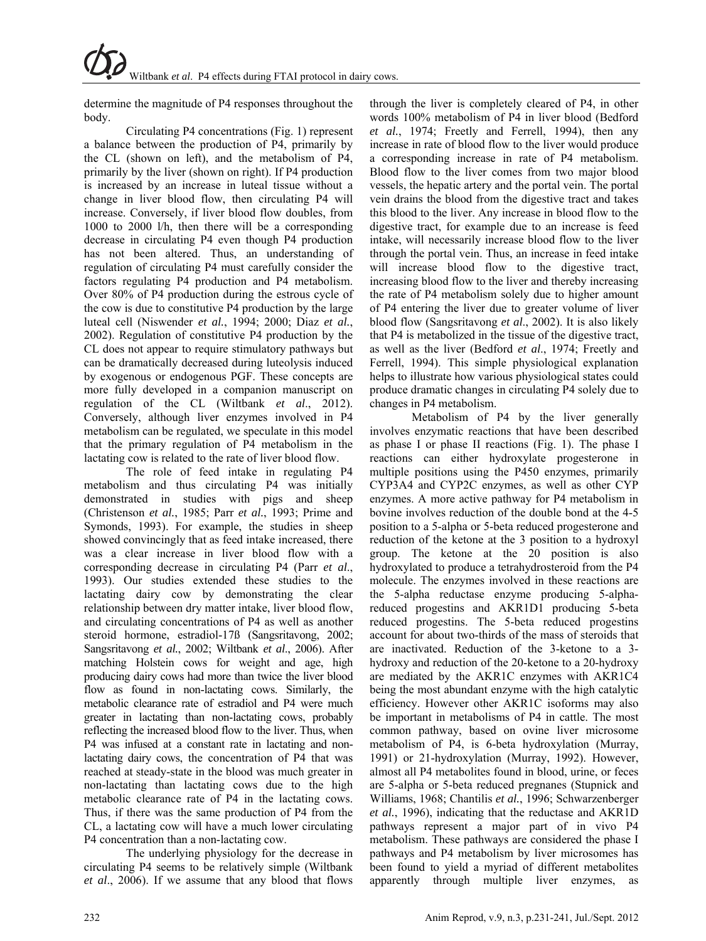determine the magnitude of P4 responses throughout the body.

Circulating P4 concentrations (Fig. 1) represent a balance between the production of P4, primarily by the CL (shown on left), and the metabolism of P4, primarily by the liver (shown on right). If P4 production is increased by an increase in luteal tissue without a change in liver blood flow, then circulating P4 will increase. Conversely, if liver blood flow doubles, from 1000 to 2000 l/h, then there will be a corresponding decrease in circulating P4 even though P4 production has not been altered. Thus, an understanding of regulation of circulating P4 must carefully consider the factors regulating P4 production and P4 metabolism. Over 80% of P4 production during the estrous cycle of the cow is due to constitutive P4 production by the large luteal cell (Niswender *et al.*, 1994; 2000; Diaz *et al.*, 2002). Regulation of constitutive P4 production by the CL does not appear to require stimulatory pathways but can be dramatically decreased during luteolysis induced by exogenous or endogenous PGF. These concepts are more fully developed in a companion manuscript on regulation of the CL (Wiltbank *et al*., 2012). Conversely, although liver enzymes involved in P4 metabolism can be regulated, we speculate in this model that the primary regulation of P4 metabolism in the lactating cow is related to the rate of liver blood flow.

The role of feed intake in regulating P4 metabolism and thus circulating P4 was initially demonstrated in studies with pigs and sheep (Christenson *et al.*, 1985; Parr *et al.*, 1993; Prime and Symonds, 1993). For example, the studies in sheep showed convincingly that as feed intake increased, there was a clear increase in liver blood flow with a corresponding decrease in circulating P4 (Parr *et al*., 1993). Our studies extended these studies to the lactating dairy cow by demonstrating the clear relationship between dry matter intake, liver blood flow, and circulating concentrations of P4 as well as another steroid hormone, estradiol-17ß (Sangsritavong, 2002; Sangsritavong *et al.*, 2002; Wiltbank *et al*., 2006). After matching Holstein cows for weight and age, high producing dairy cows had more than twice the liver blood flow as found in non-lactating cows. Similarly, the metabolic clearance rate of estradiol and P4 were much greater in lactating than non-lactating cows, probably reflecting the increased blood flow to the liver. Thus, when P4 was infused at a constant rate in lactating and nonlactating dairy cows, the concentration of P4 that was reached at steady-state in the blood was much greater in non-lactating than lactating cows due to the high metabolic clearance rate of P4 in the lactating cows. Thus, if there was the same production of P4 from the CL, a lactating cow will have a much lower circulating P4 concentration than a non-lactating cow.

The underlying physiology for the decrease in circulating P4 seems to be relatively simple (Wiltbank *et al*., 2006). If we assume that any blood that flows through the liver is completely cleared of P4, in other words 100% metabolism of P4 in liver blood (Bedford *et al.*, 1974; Freetly and Ferrell, 1994), then any increase in rate of blood flow to the liver would produce a corresponding increase in rate of P4 metabolism. Blood flow to the liver comes from two major blood vessels, the hepatic artery and the portal vein. The portal vein drains the blood from the digestive tract and takes this blood to the liver. Any increase in blood flow to the digestive tract, for example due to an increase is feed intake, will necessarily increase blood flow to the liver through the portal vein. Thus, an increase in feed intake will increase blood flow to the digestive tract, increasing blood flow to the liver and thereby increasing the rate of P4 metabolism solely due to higher amount of P4 entering the liver due to greater volume of liver blood flow (Sangsritavong *et al*., 2002). It is also likely that P4 is metabolized in the tissue of the digestive tract, as well as the liver (Bedford *et al*., 1974; Freetly and Ferrell, 1994). This simple physiological explanation helps to illustrate how various physiological states could produce dramatic changes in circulating P4 solely due to changes in P4 metabolism.

Metabolism of P4 by the liver generally involves enzymatic reactions that have been described as phase I or phase II reactions (Fig. 1). The phase I reactions can either hydroxylate progesterone in multiple positions using the P450 enzymes, primarily CYP3A4 and CYP2C enzymes, as well as other CYP enzymes. A more active pathway for P4 metabolism in bovine involves reduction of the double bond at the 4-5 position to a 5-alpha or 5-beta reduced progesterone and reduction of the ketone at the 3 position to a hydroxyl group. The ketone at the 20 position is also hydroxylated to produce a tetrahydrosteroid from the P4 molecule. The enzymes involved in these reactions are the 5-alpha reductase enzyme producing 5-alphareduced progestins and AKR1D1 producing 5-beta reduced progestins. The 5-beta reduced progestins account for about two-thirds of the mass of steroids that are inactivated. Reduction of the 3-ketone to a 3 hydroxy and reduction of the 20-ketone to a 20-hydroxy are mediated by the AKR1C enzymes with AKR1C4 being the most abundant enzyme with the high catalytic efficiency. However other AKR1C isoforms may also be important in metabolisms of P4 in cattle. The most common pathway, based on ovine liver microsome metabolism of P4, is 6-beta hydroxylation (Murray, 1991) or 21-hydroxylation (Murray, 1992). However, almost all P4 metabolites found in blood, urine, or feces are 5-alpha or 5-beta reduced pregnanes (Stupnick and Williams, 1968; Chantilis *et al.*, 1996; Schwarzenberger *et al.*, 1996), indicating that the reductase and AKR1D pathways represent a major part of in vivo P4 metabolism. These pathways are considered the phase I pathways and P4 metabolism by liver microsomes has been found to yield a myriad of different metabolites apparently through multiple liver enzymes, as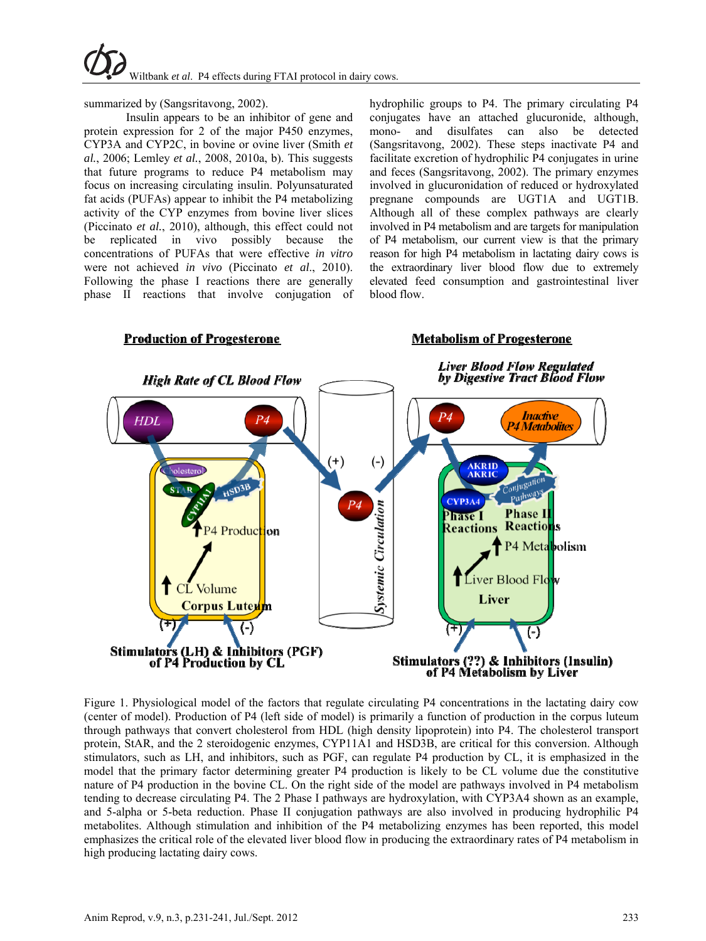

summarized by (Sangsritavong, 2002).

Insulin appears to be an inhibitor of gene and protein expression for 2 of the major P450 enzymes, CYP3A and CYP2C, in bovine or ovine liver (Smith *et al.*, 2006; Lemley *et al.*, 2008, 2010a, b). This suggests that future programs to reduce P4 metabolism may focus on increasing circulating insulin. Polyunsaturated fat acids (PUFAs) appear to inhibit the P4 metabolizing activity of the CYP enzymes from bovine liver slices (Piccinato *et al.*, 2010), although, this effect could not be replicated in vivo possibly because the concentrations of PUFAs that were effective *in vitro* were not achieved *in vivo* (Piccinato *et al*., 2010). Following the phase I reactions there are generally phase II reactions that involve conjugation of

**Production of Progesterone** 

hydrophilic groups to P4. The primary circulating P4 conjugates have an attached glucuronide, although, mono- and disulfates can also be detected (Sangsritavong, 2002). These steps inactivate P4 and facilitate excretion of hydrophilic P4 conjugates in urine and feces (Sangsritavong, 2002). The primary enzymes involved in glucuronidation of reduced or hydroxylated pregnane compounds are UGT1A and UGT1B. Although all of these complex pathways are clearly involved in P4 metabolism and are targets for manipulation of P4 metabolism, our current view is that the primary reason for high P4 metabolism in lactating dairy cows is the extraordinary liver blood flow due to extremely elevated feed consumption and gastrointestinal liver blood flow.

**Metabolism of Progesterone** 



Figure 1. Physiological model of the factors that regulate circulating P4 concentrations in the lactating dairy cow (center of model). Production of P4 (left side of model) is primarily a function of production in the corpus luteum through pathways that convert cholesterol from HDL (high density lipoprotein) into P4. The cholesterol transport protein, StAR, and the 2 steroidogenic enzymes, CYP11A1 and HSD3B, are critical for this conversion. Although stimulators, such as LH, and inhibitors, such as PGF, can regulate P4 production by CL, it is emphasized in the model that the primary factor determining greater P4 production is likely to be CL volume due the constitutive nature of P4 production in the bovine CL. On the right side of the model are pathways involved in P4 metabolism tending to decrease circulating P4. The 2 Phase I pathways are hydroxylation, with CYP3A4 shown as an example, and 5-alpha or 5-beta reduction. Phase II conjugation pathways are also involved in producing hydrophilic P4 metabolites. Although stimulation and inhibition of the P4 metabolizing enzymes has been reported, this model emphasizes the critical role of the elevated liver blood flow in producing the extraordinary rates of P4 metabolism in high producing lactating dairy cows.

# Anim Reprod, v.9, n.3, p.231-241, Jul./Sept. 2012 233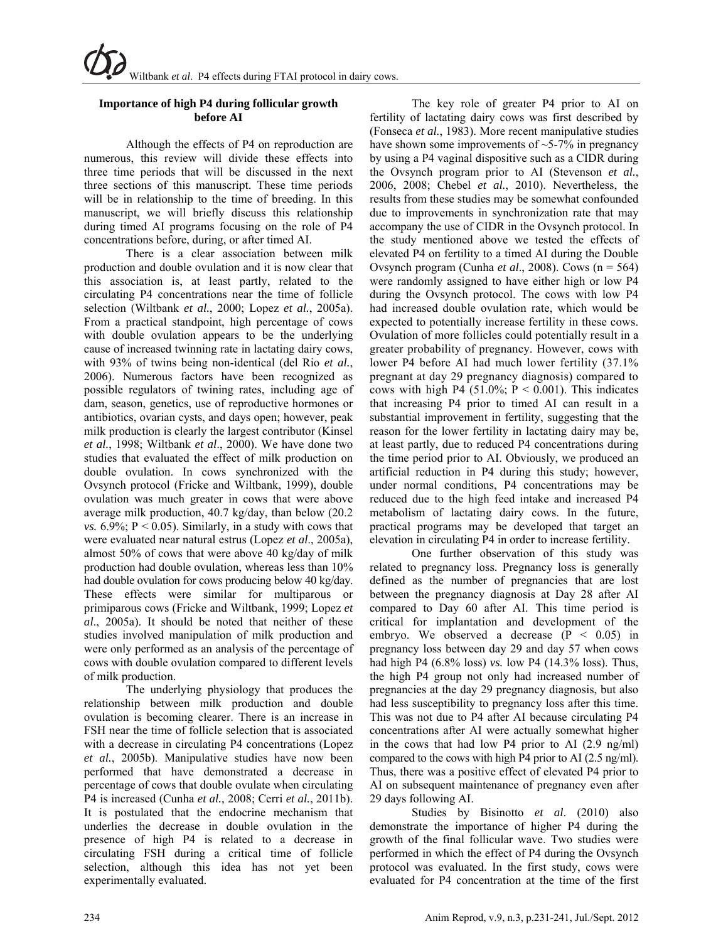# **Importance of high P4 during follicular growth before AI**

Although the effects of P4 on reproduction are numerous, this review will divide these effects into three time periods that will be discussed in the next three sections of this manuscript. These time periods will be in relationship to the time of breeding. In this manuscript, we will briefly discuss this relationship during timed AI programs focusing on the role of P4 concentrations before, during, or after timed AI.

There is a clear association between milk production and double ovulation and it is now clear that this association is, at least partly, related to the circulating P4 concentrations near the time of follicle selection (Wiltbank *et al.*, 2000; Lopez *et al.*, 2005a). From a practical standpoint, high percentage of cows with double ovulation appears to be the underlying cause of increased twinning rate in lactating dairy cows, with 93% of twins being non-identical (del Rio *et al.*, 2006). Numerous factors have been recognized as possible regulators of twining rates, including age of dam, season, genetics, use of reproductive hormones or antibiotics, ovarian cysts, and days open; however, peak milk production is clearly the largest contributor (Kinsel *et al.*, 1998; Wiltbank *et al*., 2000). We have done two studies that evaluated the effect of milk production on double ovulation. In cows synchronized with the Ovsynch protocol (Fricke and Wiltbank, 1999), double ovulation was much greater in cows that were above average milk production, 40.7 kg/day, than below (20.2 *vs.*  $6.9\%$ ;  $P < 0.05$ ). Similarly, in a study with cows that were evaluated near natural estrus (Lopez *et al*., 2005a), almost 50% of cows that were above 40 kg/day of milk production had double ovulation, whereas less than 10% had double ovulation for cows producing below 40 kg/day. These effects were similar for multiparous or primiparous cows (Fricke and Wiltbank, 1999; Lopez *et al*., 2005a). It should be noted that neither of these studies involved manipulation of milk production and were only performed as an analysis of the percentage of cows with double ovulation compared to different levels of milk production.

The underlying physiology that produces the relationship between milk production and double ovulation is becoming clearer. There is an increase in FSH near the time of follicle selection that is associated with a decrease in circulating P4 concentrations (Lopez *et al.*, 2005b). Manipulative studies have now been performed that have demonstrated a decrease in percentage of cows that double ovulate when circulating P4 is increased (Cunha *et al.*, 2008; Cerri *et al.*, 2011b). It is postulated that the endocrine mechanism that underlies the decrease in double ovulation in the presence of high P4 is related to a decrease in circulating FSH during a critical time of follicle selection, although this idea has not yet been experimentally evaluated.

The key role of greater P4 prior to AI on fertility of lactating dairy cows was first described by (Fonseca *et al.*, 1983). More recent manipulative studies have shown some improvements of  $\sim$ 5-7% in pregnancy by using a P4 vaginal dispositive such as a CIDR during the Ovsynch program prior to AI (Stevenson *et al.*, 2006, 2008; Chebel *et al.*, 2010). Nevertheless, the results from these studies may be somewhat confounded due to improvements in synchronization rate that may accompany the use of CIDR in the Ovsynch protocol. In the study mentioned above we tested the effects of elevated P4 on fertility to a timed AI during the Double Ovsynch program (Cunha *et al*., 2008). Cows (n = 564) were randomly assigned to have either high or low P4 during the Ovsynch protocol. The cows with low P4 had increased double ovulation rate, which would be expected to potentially increase fertility in these cows. Ovulation of more follicles could potentially result in a greater probability of pregnancy. However, cows with lower P4 before AI had much lower fertility (37.1% pregnant at day 29 pregnancy diagnosis) compared to cows with high P4  $(51.0\%; P \le 0.001)$ . This indicates that increasing P4 prior to timed AI can result in a substantial improvement in fertility, suggesting that the reason for the lower fertility in lactating dairy may be, at least partly, due to reduced P4 concentrations during the time period prior to AI. Obviously, we produced an artificial reduction in P4 during this study; however, under normal conditions, P4 concentrations may be reduced due to the high feed intake and increased P4 metabolism of lactating dairy cows. In the future, practical programs may be developed that target an elevation in circulating P4 in order to increase fertility.

One further observation of this study was related to pregnancy loss. Pregnancy loss is generally defined as the number of pregnancies that are lost between the pregnancy diagnosis at Day 28 after AI compared to Day 60 after AI. This time period is critical for implantation and development of the embryo. We observed a decrease  $(P < 0.05)$  in pregnancy loss between day 29 and day 57 when cows had high P4 (6.8% loss) *vs.* low P4 (14.3% loss). Thus, the high P4 group not only had increased number of pregnancies at the day 29 pregnancy diagnosis, but also had less susceptibility to pregnancy loss after this time. This was not due to P4 after AI because circulating P4 concentrations after AI were actually somewhat higher in the cows that had low P4 prior to AI (2.9 ng/ml) compared to the cows with high P4 prior to AI (2.5 ng/ml). Thus, there was a positive effect of elevated P4 prior to AI on subsequent maintenance of pregnancy even after 29 days following AI.

Studies by Bisinotto *et al*. (2010) also demonstrate the importance of higher P4 during the growth of the final follicular wave. Two studies were performed in which the effect of P4 during the Ovsynch protocol was evaluated. In the first study, cows were evaluated for P4 concentration at the time of the first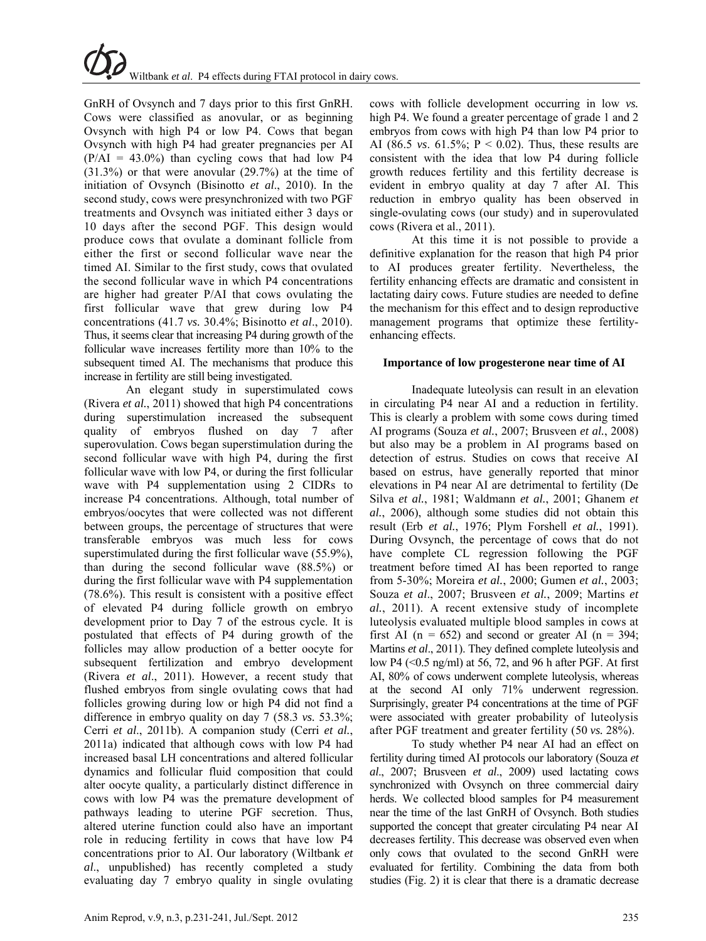GnRH of Ovsynch and 7 days prior to this first GnRH. Cows were classified as anovular, or as beginning Ovsynch with high P4 or low P4. Cows that began Ovsynch with high P4 had greater pregnancies per AI  $(P/AI = 43.0\%)$  than cycling cows that had low P4 (31.3%) or that were anovular (29.7%) at the time of initiation of Ovsynch (Bisinotto *et al*., 2010). In the second study, cows were presynchronized with two PGF treatments and Ovsynch was initiated either 3 days or 10 days after the second PGF. This design would produce cows that ovulate a dominant follicle from either the first or second follicular wave near the timed AI. Similar to the first study, cows that ovulated the second follicular wave in which P4 concentrations are higher had greater P/AI that cows ovulating the first follicular wave that grew during low P4 concentrations (41.7 *vs.* 30.4%; Bisinotto *et al*., 2010). Thus, it seems clear that increasing P4 during growth of the follicular wave increases fertility more than 10% to the subsequent timed AI. The mechanisms that produce this increase in fertility are still being investigated.

An elegant study in superstimulated cows (Rivera *et al.*, 2011) showed that high P4 concentrations during superstimulation increased the subsequent quality of embryos flushed on day 7 after superovulation. Cows began superstimulation during the second follicular wave with high P4, during the first follicular wave with low P4, or during the first follicular wave with P4 supplementation using 2 CIDRs to increase P4 concentrations. Although, total number of embryos/oocytes that were collected was not different between groups, the percentage of structures that were transferable embryos was much less for cows superstimulated during the first follicular wave (55.9%), than during the second follicular wave (88.5%) or during the first follicular wave with P4 supplementation (78.6%). This result is consistent with a positive effect of elevated P4 during follicle growth on embryo development prior to Day 7 of the estrous cycle. It is postulated that effects of P4 during growth of the follicles may allow production of a better oocyte for subsequent fertilization and embryo development (Rivera *et al*., 2011). However, a recent study that flushed embryos from single ovulating cows that had follicles growing during low or high P4 did not find a difference in embryo quality on day 7 (58.3 *vs.* 53.3%; Cerri *et al*., 2011b). A companion study (Cerri *et al.*, 2011a) indicated that although cows with low P4 had increased basal LH concentrations and altered follicular dynamics and follicular fluid composition that could alter oocyte quality, a particularly distinct difference in cows with low P4 was the premature development of pathways leading to uterine PGF secretion. Thus, altered uterine function could also have an important role in reducing fertility in cows that have low P4 concentrations prior to AI. Our laboratory (Wiltbank *et al*., unpublished) has recently completed a study evaluating day 7 embryo quality in single ovulating

cows with follicle development occurring in low *vs.* high P4. We found a greater percentage of grade 1 and 2 embryos from cows with high P4 than low P4 prior to AI (86.5 *vs*. 61.5%; P < 0.02). Thus, these results are consistent with the idea that low P4 during follicle growth reduces fertility and this fertility decrease is evident in embryo quality at day 7 after AI. This reduction in embryo quality has been observed in single-ovulating cows (our study) and in superovulated cows (Rivera et al., 2011).

At this time it is not possible to provide a definitive explanation for the reason that high P4 prior to AI produces greater fertility. Nevertheless, the fertility enhancing effects are dramatic and consistent in lactating dairy cows. Future studies are needed to define the mechanism for this effect and to design reproductive management programs that optimize these fertilityenhancing effects.

## **Importance of low progesterone near time of AI**

Inadequate luteolysis can result in an elevation in circulating P4 near AI and a reduction in fertility. This is clearly a problem with some cows during timed AI programs (Souza *et al.*, 2007; Brusveen *et al.*, 2008) but also may be a problem in AI programs based on detection of estrus. Studies on cows that receive AI based on estrus, have generally reported that minor elevations in P4 near AI are detrimental to fertility (De Silva *et al.*, 1981; Waldmann *et al.*, 2001; Ghanem *et al.*, 2006), although some studies did not obtain this result (Erb *et al.*, 1976; Plym Forshell *et al.*, 1991). During Ovsynch, the percentage of cows that do not have complete CL regression following the PGF treatment before timed AI has been reported to range from 5-30%; Moreira *et al.*, 2000; Gumen *et al.*, 2003; Souza *et al*., 2007; Brusveen *et al.*, 2009; Martins *et al.*, 2011). A recent extensive study of incomplete luteolysis evaluated multiple blood samples in cows at first AI ( $n = 652$ ) and second or greater AI ( $n = 394$ ; Martins *et al*., 2011). They defined complete luteolysis and low P4 (<0.5 ng/ml) at 56, 72, and 96 h after PGF. At first AI, 80% of cows underwent complete luteolysis, whereas at the second AI only 71% underwent regression. Surprisingly, greater P4 concentrations at the time of PGF were associated with greater probability of luteolysis after PGF treatment and greater fertility (50 *vs.* 28%).

To study whether P4 near AI had an effect on fertility during timed AI protocols our laboratory (Souza *et al*., 2007; Brusveen *et al*., 2009) used lactating cows synchronized with Ovsynch on three commercial dairy herds. We collected blood samples for P4 measurement near the time of the last GnRH of Ovsynch. Both studies supported the concept that greater circulating P4 near AI decreases fertility. This decrease was observed even when only cows that ovulated to the second GnRH were evaluated for fertility. Combining the data from both studies (Fig. 2) it is clear that there is a dramatic decrease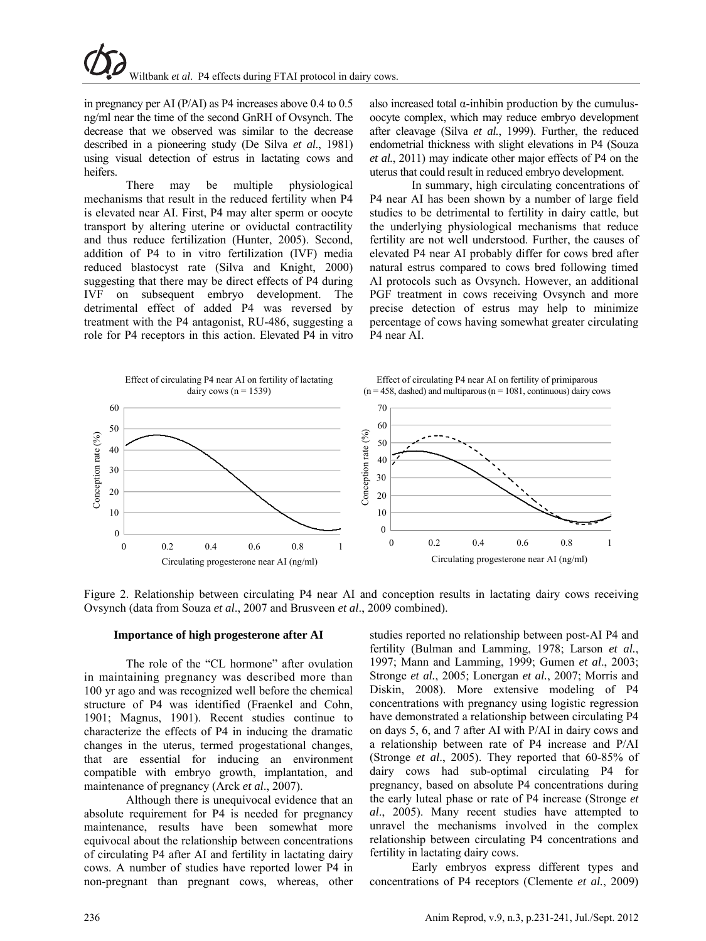in pregnancy per AI (P/AI) as P4 increases above 0.4 to 0.5 ng/ml near the time of the second GnRH of Ovsynch. The decrease that we observed was similar to the decrease described in a pioneering study (De Silva *et al*., 1981) using visual detection of estrus in lactating cows and heifers.

There may be multiple physiological mechanisms that result in the reduced fertility when P4 is elevated near AI. First, P4 may alter sperm or oocyte transport by altering uterine or oviductal contractility and thus reduce fertilization (Hunter, 2005). Second, addition of P4 to in vitro fertilization (IVF) media reduced blastocyst rate (Silva and Knight, 2000) suggesting that there may be direct effects of P4 during IVF on subsequent embryo development. The detrimental effect of added P4 was reversed by treatment with the P4 antagonist, RU-486, suggesting a role for P4 receptors in this action. Elevated P4 in vitro also increased total  $\alpha$ -inhibin production by the cumulusoocyte complex, which may reduce embryo development after cleavage (Silva *et al.*, 1999). Further, the reduced endometrial thickness with slight elevations in P4 (Souza *et al.*, 2011) may indicate other major effects of P4 on the uterus that could result in reduced embryo development.

In summary, high circulating concentrations of P4 near AI has been shown by a number of large field studies to be detrimental to fertility in dairy cattle, but the underlying physiological mechanisms that reduce fertility are not well understood. Further, the causes of elevated P4 near AI probably differ for cows bred after natural estrus compared to cows bred following timed AI protocols such as Ovsynch. However, an additional PGF treatment in cows receiving Ovsynch and more precise detection of estrus may help to minimize percentage of cows having somewhat greater circulating P4 near AI.



Figure 2. Relationship between circulating P4 near AI and conception results in lactating dairy cows receiving Ovsynch (data from Souza *et al*., 2007 and Brusveen *et al*., 2009 combined).

### **Importance of high progesterone after AI**

The role of the "CL hormone" after ovulation in maintaining pregnancy was described more than 100 yr ago and was recognized well before the chemical structure of P4 was identified (Fraenkel and Cohn, 1901; Magnus, 1901). Recent studies continue to characterize the effects of P4 in inducing the dramatic changes in the uterus, termed progestational changes, that are essential for inducing an environment compatible with embryo growth, implantation, and maintenance of pregnancy (Arck *et al*., 2007).

Although there is unequivocal evidence that an absolute requirement for P4 is needed for pregnancy maintenance, results have been somewhat more equivocal about the relationship between concentrations of circulating P4 after AI and fertility in lactating dairy cows. A number of studies have reported lower P4 in non-pregnant than pregnant cows, whereas, other studies reported no relationship between post-AI P4 and fertility (Bulman and Lamming, 1978; Larson *et al.*, 1997; Mann and Lamming, 1999; Gumen *et al*., 2003; Stronge *et al.*, 2005; Lonergan *et al.*, 2007; Morris and Diskin, 2008). More extensive modeling of P4 concentrations with pregnancy using logistic regression have demonstrated a relationship between circulating P4 on days 5, 6, and 7 after AI with P/AI in dairy cows and a relationship between rate of P4 increase and P/AI (Stronge *et al*., 2005). They reported that 60-85% of dairy cows had sub-optimal circulating P4 for pregnancy, based on absolute P4 concentrations during the early luteal phase or rate of P4 increase (Stronge *et al*., 2005). Many recent studies have attempted to unravel the mechanisms involved in the complex relationship between circulating P4 concentrations and fertility in lactating dairy cows.

Early embryos express different types and concentrations of P4 receptors (Clemente *et al.*, 2009)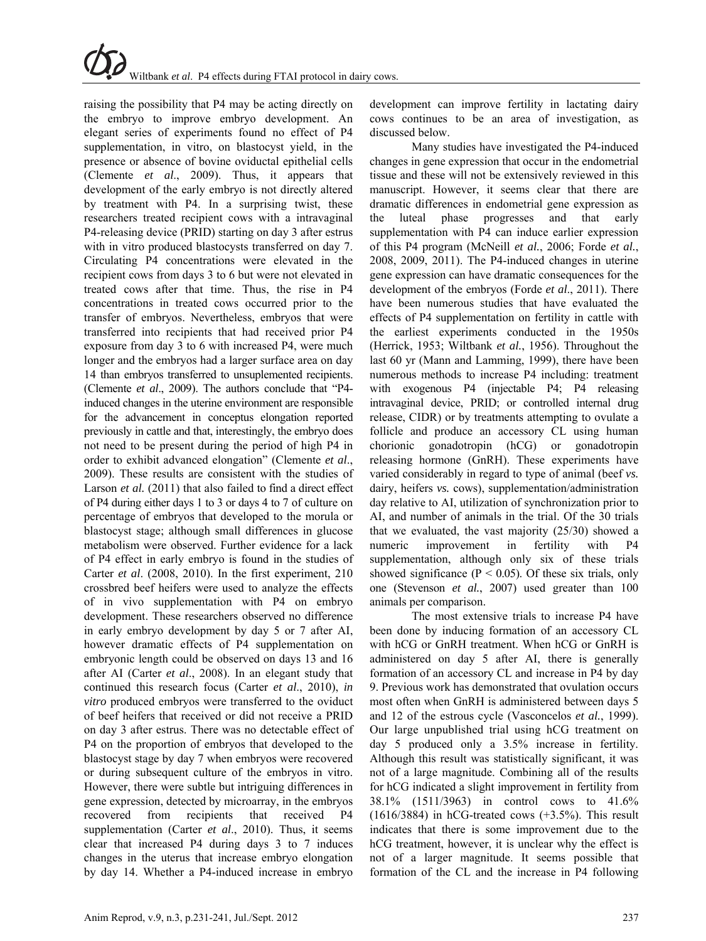raising the possibility that P4 may be acting directly on the embryo to improve embryo development. An elegant series of experiments found no effect of P4 supplementation, in vitro, on blastocyst yield, in the presence or absence of bovine oviductal epithelial cells (Clemente *et al*., 2009). Thus, it appears that development of the early embryo is not directly altered by treatment with P4. In a surprising twist, these researchers treated recipient cows with a intravaginal P4-releasing device (PRID) starting on day 3 after estrus with in vitro produced blastocysts transferred on day 7. Circulating P4 concentrations were elevated in the recipient cows from days 3 to 6 but were not elevated in treated cows after that time. Thus, the rise in P4 concentrations in treated cows occurred prior to the transfer of embryos. Nevertheless, embryos that were transferred into recipients that had received prior P4 exposure from day 3 to 6 with increased P4, were much longer and the embryos had a larger surface area on day 14 than embryos transferred to unsuplemented recipients. (Clemente *et al*., 2009). The authors conclude that "P4 induced changes in the uterine environment are responsible for the advancement in conceptus elongation reported previously in cattle and that, interestingly, the embryo does not need to be present during the period of high P4 in order to exhibit advanced elongation" (Clemente *et al*., 2009). These results are consistent with the studies of Larson *et al.* (2011) that also failed to find a direct effect of P4 during either days 1 to 3 or days 4 to 7 of culture on percentage of embryos that developed to the morula or blastocyst stage; although small differences in glucose metabolism were observed. Further evidence for a lack of P4 effect in early embryo is found in the studies of Carter *et al*. (2008, 2010). In the first experiment, 210 crossbred beef heifers were used to analyze the effects of in vivo supplementation with P4 on embryo development. These researchers observed no difference in early embryo development by day 5 or 7 after AI, however dramatic effects of P4 supplementation on embryonic length could be observed on days 13 and 16 after AI (Carter *et al*., 2008). In an elegant study that continued this research focus (Carter *et al*., 2010), *in vitro* produced embryos were transferred to the oviduct of beef heifers that received or did not receive a PRID on day 3 after estrus. There was no detectable effect of P4 on the proportion of embryos that developed to the blastocyst stage by day 7 when embryos were recovered or during subsequent culture of the embryos in vitro. However, there were subtle but intriguing differences in gene expression, detected by microarray, in the embryos recovered from recipients that received P4 supplementation (Carter *et al*., 2010). Thus, it seems clear that increased P4 during days 3 to 7 induces changes in the uterus that increase embryo elongation by day 14. Whether a P4-induced increase in embryo

development can improve fertility in lactating dairy cows continues to be an area of investigation, as discussed below.

Many studies have investigated the P4-induced changes in gene expression that occur in the endometrial tissue and these will not be extensively reviewed in this manuscript. However, it seems clear that there are dramatic differences in endometrial gene expression as the luteal phase progresses and that early supplementation with P4 can induce earlier expression of this P4 program (McNeill *et al.*, 2006; Forde *et al.*, 2008, 2009, 2011). The P4-induced changes in uterine gene expression can have dramatic consequences for the development of the embryos (Forde *et al*., 2011). There have been numerous studies that have evaluated the effects of P4 supplementation on fertility in cattle with the earliest experiments conducted in the 1950s (Herrick, 1953; Wiltbank *et al.*, 1956). Throughout the last 60 yr (Mann and Lamming, 1999), there have been numerous methods to increase P4 including: treatment with exogenous P4 (injectable P4; P4 releasing intravaginal device, PRID; or controlled internal drug release, CIDR) or by treatments attempting to ovulate a follicle and produce an accessory CL using human chorionic gonadotropin (hCG) or gonadotropin releasing hormone (GnRH). These experiments have varied considerably in regard to type of animal (beef *vs.* dairy, heifers *vs.* cows), supplementation/administration day relative to AI, utilization of synchronization prior to AI, and number of animals in the trial. Of the 30 trials that we evaluated, the vast majority (25/30) showed a numeric improvement in fertility with P4 supplementation, although only six of these trials showed significance ( $P < 0.05$ ). Of these six trials, only one (Stevenson *et al.*, 2007) used greater than 100 animals per comparison.

The most extensive trials to increase P4 have been done by inducing formation of an accessory CL with hCG or GnRH treatment. When hCG or GnRH is administered on day 5 after AI, there is generally formation of an accessory CL and increase in P4 by day 9. Previous work has demonstrated that ovulation occurs most often when GnRH is administered between days 5 and 12 of the estrous cycle (Vasconcelos *et al.*, 1999). Our large unpublished trial using hCG treatment on day 5 produced only a 3.5% increase in fertility. Although this result was statistically significant, it was not of a large magnitude. Combining all of the results for hCG indicated a slight improvement in fertility from 38.1% (1511/3963) in control cows to 41.6%  $(1616/3884)$  in hCG-treated cows  $(+3.5%)$ . This result indicates that there is some improvement due to the hCG treatment, however, it is unclear why the effect is not of a larger magnitude. It seems possible that formation of the CL and the increase in P4 following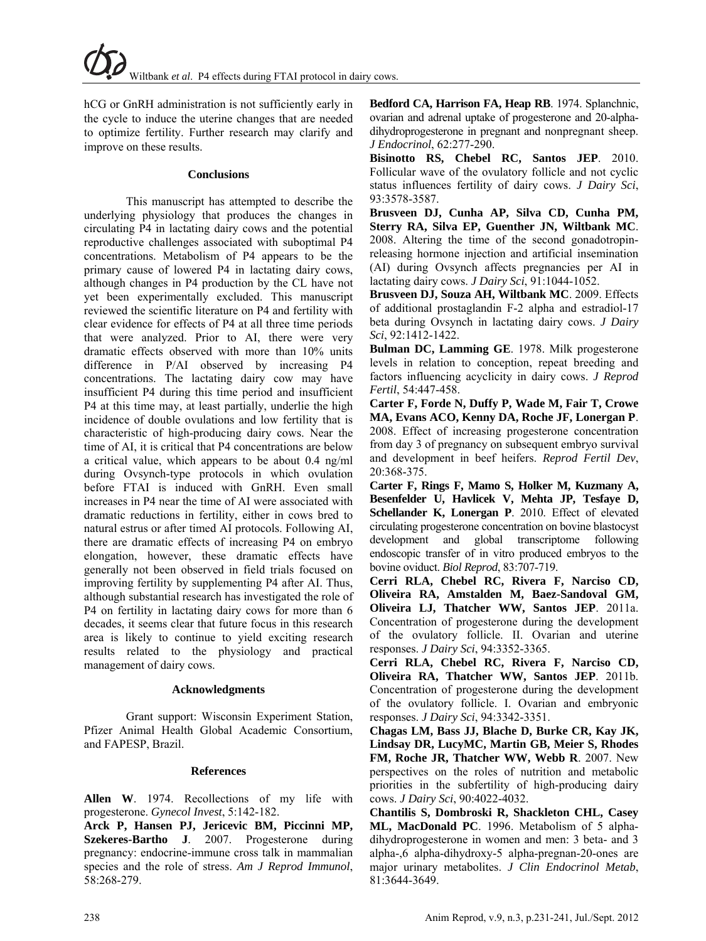hCG or GnRH administration is not sufficiently early in the cycle to induce the uterine changes that are needed to optimize fertility. Further research may clarify and improve on these results.

## **Conclusions**

This manuscript has attempted to describe the underlying physiology that produces the changes in circulating P4 in lactating dairy cows and the potential reproductive challenges associated with suboptimal P4 concentrations. Metabolism of P4 appears to be the primary cause of lowered P4 in lactating dairy cows, although changes in P4 production by the CL have not yet been experimentally excluded. This manuscript reviewed the scientific literature on P4 and fertility with clear evidence for effects of P4 at all three time periods that were analyzed. Prior to AI, there were very dramatic effects observed with more than 10% units difference in P/AI observed by increasing P4 concentrations. The lactating dairy cow may have insufficient P4 during this time period and insufficient P4 at this time may, at least partially, underlie the high incidence of double ovulations and low fertility that is characteristic of high-producing dairy cows. Near the time of AI, it is critical that P4 concentrations are below a critical value, which appears to be about 0.4 ng/ml during Ovsynch-type protocols in which ovulation before FTAI is induced with GnRH. Even small increases in P4 near the time of AI were associated with dramatic reductions in fertility, either in cows bred to natural estrus or after timed AI protocols. Following AI, there are dramatic effects of increasing P4 on embryo elongation, however, these dramatic effects have generally not been observed in field trials focused on improving fertility by supplementing P4 after AI. Thus, although substantial research has investigated the role of P4 on fertility in lactating dairy cows for more than 6 decades, it seems clear that future focus in this research area is likely to continue to yield exciting research results related to the physiology and practical management of dairy cows.

# **Acknowledgments**

Grant support: Wisconsin Experiment Station, Pfizer Animal Health Global Academic Consortium, and FAPESP, Brazil.

# **References**

**Allen W**. 1974. Recollections of my life with progesterone. *Gynecol Invest*, 5:142-182.

**Arck P, Hansen PJ, Jericevic BM, Piccinni MP, Szekeres-Bartho J**. 2007. Progesterone during pregnancy: endocrine-immune cross talk in mammalian species and the role of stress. *Am J Reprod Immunol*, 58:268-279.

**Bedford CA, Harrison FA, Heap RB**. 1974. Splanchnic, ovarian and adrenal uptake of progesterone and 20-alphadihydroprogesterone in pregnant and nonpregnant sheep. *J Endocrinol*, 62:277-290.

**Bisinotto RS, Chebel RC, Santos JEP**. 2010. Follicular wave of the ovulatory follicle and not cyclic status influences fertility of dairy cows. *J Dairy Sci*, 93:3578-3587.

**Brusveen DJ, Cunha AP, Silva CD, Cunha PM, Sterry RA, Silva EP, Guenther JN, Wiltbank MC**. 2008. Altering the time of the second gonadotropinreleasing hormone injection and artificial insemination (AI) during Ovsynch affects pregnancies per AI in lactating dairy cows. *J Dairy Sci*, 91:1044-1052.

**Brusveen DJ, Souza AH, Wiltbank MC**. 2009. Effects of additional prostaglandin F-2 alpha and estradiol-17 beta during Ovsynch in lactating dairy cows. *J Dairy Sci*, 92:1412-1422.

**Bulman DC, Lamming GE**. 1978. Milk progesterone levels in relation to conception, repeat breeding and factors influencing acyclicity in dairy cows. *J Reprod Fertil*, 54:447-458.

**Carter F, Forde N, Duffy P, Wade M, Fair T, Crowe MA, Evans ACO, Kenny DA, Roche JF, Lonergan P**. 2008. Effect of increasing progesterone concentration from day 3 of pregnancy on subsequent embryo survival and development in beef heifers. *Reprod Fertil Dev*, 20:368-375.

**Carter F, Rings F, Mamo S, Holker M, Kuzmany A, Besenfelder U, Havlicek V, Mehta JP, Tesfaye D, Schellander K, Lonergan P**. 2010. Effect of elevated circulating progesterone concentration on bovine blastocyst development and global transcriptome following endoscopic transfer of in vitro produced embryos to the bovine oviduct. *Biol Reprod*, 83:707-719.

**Cerri RLA, Chebel RC, Rivera F, Narciso CD, Oliveira RA, Amstalden M, Baez-Sandoval GM, Oliveira LJ, Thatcher WW, Santos JEP**. 2011a. Concentration of progesterone during the development of the ovulatory follicle. II. Ovarian and uterine responses. *J Dairy Sci*, 94:3352-3365.

**Cerri RLA, Chebel RC, Rivera F, Narciso CD, Oliveira RA, Thatcher WW, Santos JEP**. 2011b. Concentration of progesterone during the development of the ovulatory follicle. I. Ovarian and embryonic responses. *J Dairy Sci*, 94:3342-3351.

**Chagas LM, Bass JJ, Blache D, Burke CR, Kay JK, Lindsay DR, LucyMC, Martin GB, Meier S, Rhodes FM, Roche JR, Thatcher WW, Webb R**. 2007. New perspectives on the roles of nutrition and metabolic priorities in the subfertility of high-producing dairy cows. *J Dairy Sci*, 90:4022-4032.

**Chantilis S, Dombroski R, Shackleton CHL, Casey ML, MacDonald PC**. 1996. Metabolism of 5 alphadihydroprogesterone in women and men: 3 beta- and 3 alpha-,6 alpha-dihydroxy-5 alpha-pregnan-20-ones are major urinary metabolites. *J Clin Endocrinol Metab*, 81:3644-3649.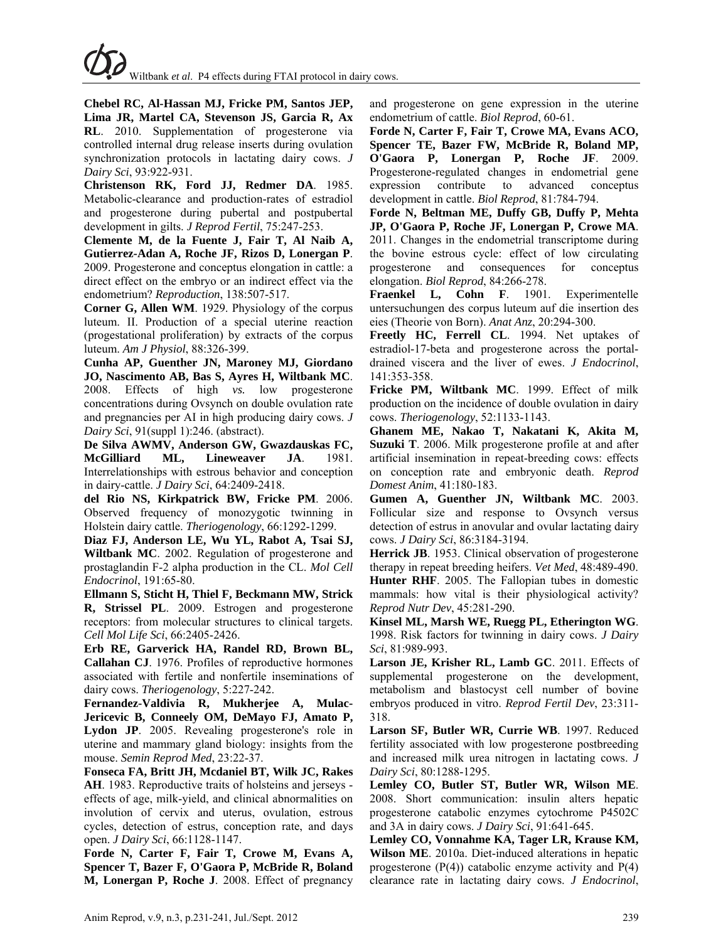**Chebel RC, Al-Hassan MJ, Fricke PM, Santos JEP, Lima JR, Martel CA, Stevenson JS, Garcia R, Ax RL**. 2010. Supplementation of progesterone via controlled internal drug release inserts during ovulation synchronization protocols in lactating dairy cows. *J Dairy Sci*, 93:922-931.

**Christenson RK, Ford JJ, Redmer DA**. 1985. Metabolic-clearance and production-rates of estradiol and progesterone during pubertal and postpubertal development in gilts. *J Reprod Fertil*, 75:247-253.

**Clemente M, de la Fuente J, Fair T, Al Naib A, Gutierrez-Adan A, Roche JF, Rizos D, Lonergan P**. 2009. Progesterone and conceptus elongation in cattle: a direct effect on the embryo or an indirect effect via the endometrium? *Reproduction*, 138:507-517.

**Corner G, Allen WM**. 1929. Physiology of the corpus luteum. II. Production of a special uterine reaction (progestational proliferation) by extracts of the corpus luteum. *Am J Physiol*, 88:326-399.

**Cunha AP, Guenther JN, Maroney MJ, Giordano JO, Nascimento AB, Bas S, Ayres H, Wiltbank MC**. 2008. Effects of high *vs.* low progesterone concentrations during Ovsynch on double ovulation rate and pregnancies per AI in high producing dairy cows. *J Dairy Sci*, 91(suppl 1):246. (abstract).

**De Silva AWMV, Anderson GW, Gwazdauskas FC, McGilliard ML, Lineweaver JA**. 1981. Interrelationships with estrous behavior and conception in dairy-cattle. *J Dairy Sci*, 64:2409-2418.

**del Rio NS, Kirkpatrick BW, Fricke PM**. 2006. Observed frequency of monozygotic twinning in Holstein dairy cattle. *Theriogenology*, 66:1292-1299.

**Diaz FJ, Anderson LE, Wu YL, Rabot A, Tsai SJ, Wiltbank MC**. 2002. Regulation of progesterone and prostaglandin F-2 alpha production in the CL. *Mol Cell Endocrinol*, 191:65-80.

**Ellmann S, Sticht H, Thiel F, Beckmann MW, Strick R, Strissel PL**. 2009. Estrogen and progesterone receptors: from molecular structures to clinical targets. *Cell Mol Life Sci*, 66:2405-2426.

**Erb RE, Garverick HA, Randel RD, Brown BL, Callahan CJ**. 1976. Profiles of reproductive hormones associated with fertile and nonfertile inseminations of dairy cows. *Theriogenology*, 5:227-242.

**Fernandez-Valdivia R, Mukherjee A, Mulac-Jericevic B, Conneely OM, DeMayo FJ, Amato P, Lydon JP**. 2005. Revealing progesterone's role in uterine and mammary gland biology: insights from the mouse. *Semin Reprod Med*, 23:22-37.

**Fonseca FA, Britt JH, Mcdaniel BT, Wilk JC, Rakes AH**. 1983. Reproductive traits of holsteins and jerseys effects of age, milk-yield, and clinical abnormalities on involution of cervix and uterus, ovulation, estrous cycles, detection of estrus, conception rate, and days open. *J Dairy Sci*, 66:1128-1147.

**Forde N, Carter F, Fair T, Crowe M, Evans A, Spencer T, Bazer F, O'Gaora P, McBride R, Boland M, Lonergan P, Roche J**. 2008. Effect of pregnancy and progesterone on gene expression in the uterine endometrium of cattle. *Biol Reprod*, 60-61.

**Forde N, Carter F, Fair T, Crowe MA, Evans ACO, Spencer TE, Bazer FW, McBride R, Boland MP, O'Gaora P, Lonergan P, Roche JF**. 2009. Progesterone-regulated changes in endometrial gene expression contribute to advanced conceptus development in cattle. *Biol Reprod*, 81:784-794.

**Forde N, Beltman ME, Duffy GB, Duffy P, Mehta JP, O'Gaora P, Roche JF, Lonergan P, Crowe MA**. 2011. Changes in the endometrial transcriptome during the bovine estrous cycle: effect of low circulating progesterone and consequences for conceptus elongation. *Biol Reprod*, 84:266-278.

**Fraenkel L, Cohn F**. 1901. Experimentelle untersuchungen des corpus luteum auf die insertion des eies (Theorie von Born). *Anat Anz*, 20:294-300.

**Freetly HC, Ferrell CL**. 1994. Net uptakes of estradiol-17-beta and progesterone across the portaldrained viscera and the liver of ewes. *J Endocrinol*, 141:353-358.

**Fricke PM, Wiltbank MC**. 1999. Effect of milk production on the incidence of double ovulation in dairy cows. *Theriogenology*, 52:1133-1143.

**Ghanem ME, Nakao T, Nakatani K, Akita M, Suzuki T**. 2006. Milk progesterone profile at and after artificial insemination in repeat-breeding cows: effects on conception rate and embryonic death. *Reprod Domest Anim*, 41:180-183.

**Gumen A, Guenther JN, Wiltbank MC**. 2003. Follicular size and response to Ovsynch versus detection of estrus in anovular and ovular lactating dairy cows. *J Dairy Sci*, 86:3184-3194.

**Herrick JB**. 1953. Clinical observation of progesterone therapy in repeat breeding heifers. *Vet Med*, 48:489-490. **Hunter RHF**. 2005. The Fallopian tubes in domestic mammals: how vital is their physiological activity? *Reprod Nutr Dev*, 45:281-290.

**Kinsel ML, Marsh WE, Ruegg PL, Etherington WG**. 1998. Risk factors for twinning in dairy cows. *J Dairy Sci*, 81:989-993.

**Larson JE, Krisher RL, Lamb GC**. 2011. Effects of supplemental progesterone on the development, metabolism and blastocyst cell number of bovine embryos produced in vitro. *Reprod Fertil Dev*, 23:311- 318.

**Larson SF, Butler WR, Currie WB**. 1997. Reduced fertility associated with low progesterone postbreeding and increased milk urea nitrogen in lactating cows. *J Dairy Sci*, 80:1288-1295.

**Lemley CO, Butler ST, Butler WR, Wilson ME**. 2008. Short communication: insulin alters hepatic progesterone catabolic enzymes cytochrome P4502C and 3A in dairy cows. *J Dairy Sci*, 91:641-645.

**Lemley CO, Vonnahme KA, Tager LR, Krause KM, Wilson ME**. 2010a. Diet-induced alterations in hepatic progesterone  $(P(4))$  catabolic enzyme activity and  $P(4)$ clearance rate in lactating dairy cows. *J Endocrinol*,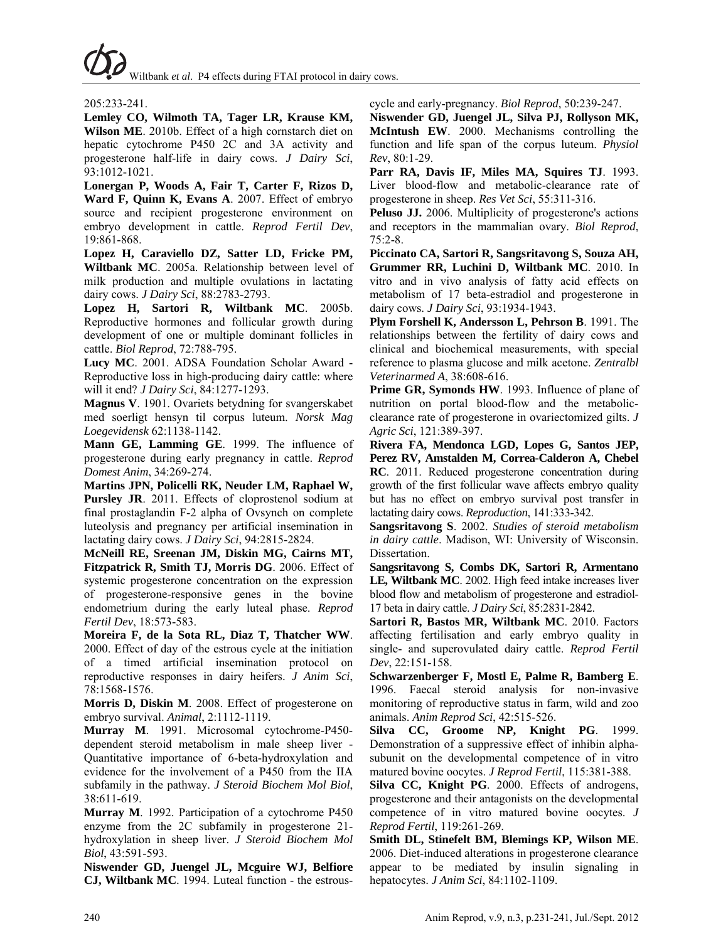205:233-241.

**Lemley CO, Wilmoth TA, Tager LR, Krause KM, Wilson ME**. 2010b. Effect of a high cornstarch diet on hepatic cytochrome P450 2C and 3A activity and progesterone half-life in dairy cows. *J Dairy Sci*, 93:1012-1021.

**Lonergan P, Woods A, Fair T, Carter F, Rizos D, Ward F, Quinn K, Evans A**. 2007. Effect of embryo source and recipient progesterone environment on embryo development in cattle. *Reprod Fertil Dev*, 19:861-868.

**Lopez H, Caraviello DZ, Satter LD, Fricke PM, Wiltbank MC**. 2005a. Relationship between level of milk production and multiple ovulations in lactating dairy cows. *J Dairy Sci*, 88:2783-2793.

**Lopez H, Sartori R, Wiltbank MC**. 2005b. Reproductive hormones and follicular growth during development of one or multiple dominant follicles in cattle. *Biol Reprod*, 72:788-795.

**Lucy MC**. 2001. ADSA Foundation Scholar Award - Reproductive loss in high-producing dairy cattle: where will it end? *J Dairy Sci*, 84:1277-1293.

**Magnus V**. 1901. Ovariets betydning for svangerskabet med soerligt hensyn til corpus luteum. *Norsk Mag Loegevidensk* 62:1138-1142.

**Mann GE, Lamming GE**. 1999. The influence of progesterone during early pregnancy in cattle. *Reprod Domest Anim*, 34:269-274.

**Martins JPN, Policelli RK, Neuder LM, Raphael W, Pursley JR**. 2011. Effects of cloprostenol sodium at final prostaglandin F-2 alpha of Ovsynch on complete luteolysis and pregnancy per artificial insemination in lactating dairy cows. *J Dairy Sci*, 94:2815-2824.

**McNeill RE, Sreenan JM, Diskin MG, Cairns MT, Fitzpatrick R, Smith TJ, Morris DG**. 2006. Effect of systemic progesterone concentration on the expression of progesterone-responsive genes in the bovine endometrium during the early luteal phase. *Reprod Fertil Dev*, 18:573-583.

**Moreira F, de la Sota RL, Diaz T, Thatcher WW**. 2000. Effect of day of the estrous cycle at the initiation of a timed artificial insemination protocol on reproductive responses in dairy heifers. *J Anim Sci*, 78:1568-1576.

**Morris D, Diskin M**. 2008. Effect of progesterone on embryo survival. *Animal*, 2:1112-1119.

**Murray M**. 1991. Microsomal cytochrome-P450 dependent steroid metabolism in male sheep liver - Quantitative importance of 6-beta-hydroxylation and evidence for the involvement of a P450 from the IIA subfamily in the pathway. *J Steroid Biochem Mol Biol*, 38:611-619.

**Murray M**. 1992. Participation of a cytochrome P450 enzyme from the 2C subfamily in progesterone 21 hydroxylation in sheep liver. *J Steroid Biochem Mol Biol*, 43:591-593.

**Niswender GD, Juengel JL, Mcguire WJ, Belfiore CJ, Wiltbank MC**. 1994. Luteal function - the estrouscycle and early-pregnancy. *Biol Reprod*, 50:239-247.

**Niswender GD, Juengel JL, Silva PJ, Rollyson MK, McIntush EW**. 2000. Mechanisms controlling the function and life span of the corpus luteum. *Physiol Rev*, 80:1-29.

**Parr RA, Davis IF, Miles MA, Squires TJ**. 1993. Liver blood-flow and metabolic-clearance rate of progesterone in sheep. *Res Vet Sci*, 55:311-316.

**Peluso JJ.** 2006. Multiplicity of progesterone's actions and receptors in the mammalian ovary. *Biol Reprod*, 75:2-8.

**Piccinato CA, Sartori R, Sangsritavong S, Souza AH, Grummer RR, Luchini D, Wiltbank MC**. 2010. In vitro and in vivo analysis of fatty acid effects on metabolism of 17 beta-estradiol and progesterone in dairy cows. *J Dairy Sci*, 93:1934-1943.

**Plym Forshell K, Andersson L, Pehrson B**. 1991. The relationships between the fertility of dairy cows and clinical and biochemical measurements, with special reference to plasma glucose and milk acetone. *Zentralbl Veterinarmed A*, 38:608-616.

Prime GR, Symonds HW. 1993. Influence of plane of nutrition on portal blood-flow and the metabolicclearance rate of progesterone in ovariectomized gilts. *J Agric Sci*, 121:389-397.

**Rivera FA, Mendonca LGD, Lopes G, Santos JEP, Perez RV, Amstalden M, Correa-Calderon A, Chebel RC**. 2011. Reduced progesterone concentration during growth of the first follicular wave affects embryo quality but has no effect on embryo survival post transfer in lactating dairy cows. *Reproduction*, 141:333-342.

**Sangsritavong S**. 2002. *Studies of steroid metabolism in dairy cattle*. Madison, WI: University of Wisconsin. Dissertation.

**Sangsritavong S, Combs DK, Sartori R, Armentano LE, Wiltbank MC**. 2002. High feed intake increases liver blood flow and metabolism of progesterone and estradiol-17 beta in dairy cattle. *J Dairy Sci*, 85:2831-2842.

**Sartori R, Bastos MR, Wiltbank MC**. 2010. Factors affecting fertilisation and early embryo quality in single- and superovulated dairy cattle. *Reprod Fertil Dev*, 22:151-158.

**Schwarzenberger F, Mostl E, Palme R, Bamberg E**. 1996. Faecal steroid analysis for non-invasive monitoring of reproductive status in farm, wild and zoo animals. *Anim Reprod Sci*, 42:515-526.

**Silva CC, Groome NP, Knight PG**. 1999. Demonstration of a suppressive effect of inhibin alphasubunit on the developmental competence of in vitro matured bovine oocytes. *J Reprod Fertil*, 115:381-388.

**Silva CC, Knight PG**. 2000. Effects of androgens, progesterone and their antagonists on the developmental competence of in vitro matured bovine oocytes. *J Reprod Fertil*, 119:261-269.

**Smith DL, Stinefelt BM, Blemings KP, Wilson ME**. 2006. Diet-induced alterations in progesterone clearance appear to be mediated by insulin signaling in hepatocytes. *J Anim Sci*, 84:1102-1109.